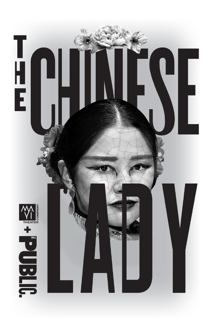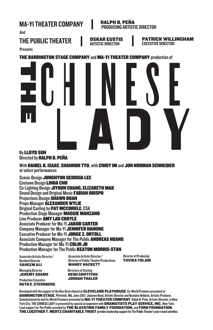

#### By LLOYD SUH Directed by RALPH B. PEÑA

With DANIEL K. ISAAC, SHANNON TYO, with CINDY IM and JON NORMAN SCHNEIDER at select performances

Scenic Design JUNGHYUN GEORGIA LEE Costume Design LINDA CHO Co-Lighting Design JIYOUN CHANG, ELIZABETH MAK Sound Design and Original Music FABIAN OBISPO Projections Design SHAWN DUAN Props Manager ALEXANDER WYLIE Original Casting by PAT MCCORKLE, CSA Production Stage Manager MAGGIE MANZANO Line Producer AMY LAU CROYLE Associate Producer for Ma-Yi JAKOB CARTER Company Manager for Ma-Yi JENNIFER HAINING Executive Producer for Ma-Yi JORGE Z. ORTOLL **Associate Company Manager for The Public ANDREAS HUANG** Production Manager for Ma-Yi **COLIN JB** Production Manager for The Public KEATON MORRIS-STAN

Associate Artistic Director / Resident Director SAHEEM ALI

Associate Artistic Director / Director of Public Theater Productions MANDY HACKETT Directors of Casting HEIDI GRIFFITHS/

Director of Producing YUVIKA TOLANI

 Managing Director JEREMY ADAMS

**Production Executive** RUTH E. STERNBERG

Developed with the support of the Roe Green Award at CLEVELAND PLAYHOUSE. Co-World Premiere presented at BARRINGTON STAGE, Pittsfield, MA, June 2017; Julianne Boyd, Artistic Director and Branden Huldeen, Artistic Producer. Commissioned by and Co-World Premiere presented by MA-YI THEATER COMPANY, Ralph B. Peña, Artistic Director, in New York City. THE CHINESE LADY is presented by special arrangement with DRAMATISTS PLAY SERVICE. INC., New York. Lead support for The Public provided by THE BLAVATNIK FAMILY FOUNDATION, and FORD FOUNDATION. THE LUESTHER T. MERTZ CHARITABLE TRUST provides leadership support for The Public Theater's year-round activities.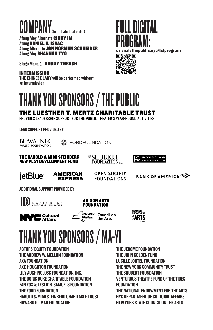# COMPANY<sub>(In alphabetical order)</sub> FULL DIGITAL

Afong Moy Alternate CINDY IM Atung DANIEL K. ISAAC **Atung Alternate JON NORMAN SCHNEIDER** Afong Moy SHANNON TYO

Stage Manager BRODY THRASH

INTERMISSION THE CHINESE LADY will be performed without an intermission





# THANK YOU SPONSORS / THE PUBLIC

#### **THE LUESTHER T. MERTZ CHARITABLE TRUST**

PROVIDES LEADERSHIP SUPPORT FOR THE PUBLIC THEATER'S YEAR-ROUND ACTIVITIES

LEAD SUPPORT PROVIDED BY

BLAVATNIK FAMILY FOUNDATION

**SS FORDFOUNDATION** 

**THE HAROLD & MIMI STEINBERG NEW PLAY DEVELOPMENT FUND** 

**<sup>₩</sup>SHUBERT FOUNDATION** INC. **EXPRESSIONAL SILMAN** 



**AMERICAN EXPRESS**  **OPEN SOCIETY FOUNDATIONS** 

**BANK OF AMERICA** 

ADDITIONAL SUPPORT PROVIDED BY

DORIS DUKE



**VC** Cultural





# THANK YOU SPONSORS / MA-YI

ACTORS' EQUITY FOUNDATION THE ANDREW W. MELLON FOUNDATION AXA FOUNDATION AXE-HOUGHTON FOUNDATION LILY AUCHINCLOSS FOUNDATION, INC. THE DORIS DUKE CHARITABLE FOUNDATION FAN FOX & LESLIE R. SAMUELS FOUNDATION THE FORD FOUNDATION HAROLD & MIMI STEINBERG CHARITABLE TRUST HOWARD GILMAN FOUNDATION

THE JEROME FOUNDATION THE JOHN GOLDEN FUND LUCILLE LORTEL FOUNDATION THE NEW YORK COMMUNITY TRUST THE SHUBERT FOUNDATION VENTUROUS THEATRE FUND OF THE TIDES **FOUNDATION** THE NATIONAL ENDOWMENT FOR THE ARTS NYC DEPARTMENT OF CULTURAL AFFAIRS NEW YORK STATE COUNCIL ON THE ARTS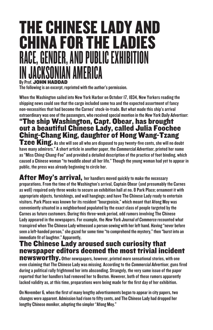# THE CHINESE LADY AND CHINA FOR THE LADIES RACE, GENDER, AND PUBLIC EXHIBITION IIAN AMFRICA By Prof. JOHN HADDAD

The following is an excerpt, reprinted with the author's permission.

When the Washington sailed into New York Harbor on October 17, 1834, New Yorkers reading the shipping news could see that the cargo included some tea and the expected assortment of fancy non-necessities that had become the Carnes' stock-in-trade. But what made this ship's arrival extraordinary was one of the passengers, who received special mention in the New York Daily Advertiser:

#### "The ship Washington, Capt. Obear, has brought out a beautiful Chinese Lady, called Julia Foochee Ching-Chang King, daughter of Hong Wang-Tzang

 $\mathsf{Tzee}$  King. As she will see all who are disposed to pay twenty-five cents, she will no doubt have many admirers." A short article in another paper, the Commercial Advertiser, printed her name as "Miss Ching-Chang-Foo" and provided a detailed description of the practice of foot binding, which caused a Chinese woman "to twaddle about all her life." Though the young woman had yet to appear in public, the press was already beginning to circle her.

After Moy's arrival, her handlers moved quickly to make the necessary preparations. From the time of the Washington's arrival, Captain Obear (and presumably the Carnes as well) required only three weeks to secure an exhibition hall at no. 8 Park Place; ornament it with appropriate objects, furnishings, and wall hangings; and have The Chinese Lady ready to entertain visitors. Park Place was known for its resident "bourgeoisie," which meant that Afong Moy was conveniently situated in a neighborhood populated by the exact class of people targeted by the Carnes as future customers. During this three-week period, odd rumors involving The Chinese Lady appeared in the newspapers. For example, the New York Journal of Commerce recounted what transpired when The Chinese Lady witnessed a person sewing with her left hand. Having "never before seen a left-handed person," she gazed for some time "to comprehend the mystery," then "burst into an immediate fit of laughter." Apparently,

### The Chinese Lady aroused such curiosity that newspaper editors deemed the most trivial incident

newsworthy. Other newspapers, however, printed more sensational stories, with one even claiming that The Chinese Lady was missing. According to the Commercial Advertiser, guns fired during a political rally frightened her into absconding. Strangely, the very same issue of the paper reported that her handlers had removed her to Boston. However, both of these rumors apparently lacked validity as, at this time, preparations were being made for the first day of her exhibition.

On November 6, when the first of many lengthy advertisements began to appear in city papers, two changes were apparent. Admission had risen to fifty cents, and The Chinese Lady had dropped her lengthy Chinese moniker, adopting the simpler "Afong Moy."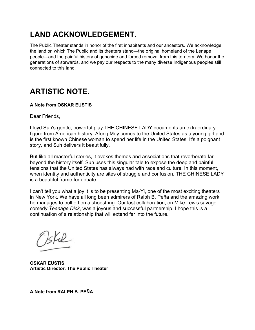# **LAND ACKNOWLEDGEMENT.**

The Public Theater stands in honor of the first inhabitants and our ancestors. We acknowledge the land on which The Public and its theaters stand—the original homeland of the Lenape people—and the painful history of genocide and forced removal from this territory. We honor the generations of stewards, and we pay our respects to the many diverse Indigenous peoples still connected to this land.

# **ARTISTIC NOTE.**

#### **A Note from OSKAR EUSTIS**

Dear Friends,

Lloyd Suh's gentle, powerful play THE CHINESE LADY documents an extraordinary figure from American history. Afong Moy comes to the United States as a young girl and is the first known Chinese woman to spend her life in the United States. It's a poignant story, and Suh delivers it beautifully.

But like all masterful stories, it evokes themes and associations that reverberate far beyond the history itself. Suh uses this singular tale to expose the deep and painful tensions that the United States has always had with race and culture. In this moment, when identity and authenticity are sites of struggle and confusion, THE CHINESE LADY is a beautiful frame for debate.

I can't tell you what a joy it is to be presenting Ma-Yi, one of the most exciting theaters in New York. We have all long been admirers of Ralph B. Peña and the amazing work he manages to pull off on a shoestring. Our last collaboration, on Mike Lew's savage comedy *Teenage Dick*, was a joyous and successful partnership. I hope this is a continuation of a relationship that will extend far into the future.

sfil

**OSKAR EUSTIS Artistic Director, The Public Theater**

**A Note from RALPH B. PEÑA**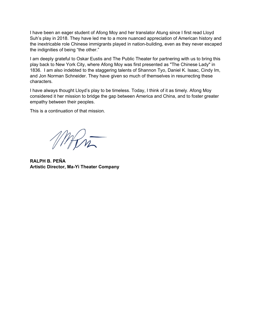I have been an eager student of Afong Moy and her translator Atung since I first read Lloyd Suh's play in 2018. They have led me to a more nuanced appreciation of American history and the inextricable role Chinese immigrants played in nation-building, even as they never escaped the indignities of being "the other."

I am deeply grateful to Oskar Eustis and The Public Theater for partnering with us to bring this play back to New York City, where Afong Moy was first presented as "The Chinese Lady" in 1836. I am also indebted to the staggering talents of Shannon Tyo, Daniel K. Isaac, Cindy Im, and Jon Norman Schneider. They have given so much of themselves in resurrecting these characters.

I have always thought Lloyd's play to be timeless. Today, I think of it as timely. Afong Moy considered it her mission to bridge the gap between America and China, and to foster greater empathy between their peoples.

This is a continuation of that mission.

MAIN

**RALPH B. PEÑA Artistic Director, Ma-Yi Theater Company**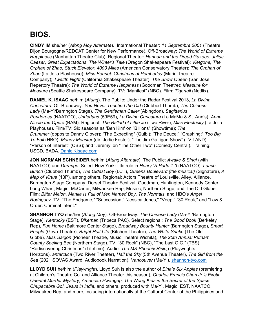# **BIOS.**

**CINDY IM** she/her (*Afong Moy Alternate*). International Theater: *11 Septembre 2001* (Theatre Dijon Bourgogne/REDCAT Center for New Performance). Off-Broadway: *The World of Extreme Happiness* (Manhattan Theatre Club). Regional Theater: *Hannah and the Dread Gazebo*, *Julius Caesar*, *Great Expectations*, *The Winter's Tale* (Oregon Shakespeare Festival); *Vietgone, The Orphan of Zhao, Stuck Elevator*, *4000 Miles* (American Conservatory Theater); *The Orphan of Zhao* (La Jolla Playhouse); *Miss Bennet: Christmas at Pemberley* (Marin Theatre Company); *Twelfth Night* (California Shakespeare Theater); *The Snow Queen* (San Jose Repertory Theatre); *The World of Extreme Happiness* (Goodman Theatre); *Measure for Measure* (Seattle Shakespeare Company). TV: "Manifest" (NBC). Film: *Tigertail* (Netflix).

**DANIEL K. ISAAC** he/him (*Atung*). The Public: Under the Radar Festival 2013, *La Divina Caricatura.* Off-Broadway: *You Never Touched the Dirt* (Clubbed Thumb), *The Chinese Lady* (Ma-Yi/Barrington Stage), *The Gentleman Caller* (Abingdon), *Sagittarius Ponderosa* (NAATCO), *Underland* (59E59), *La Divina Caricatura* (La MaMa & St. Ann's), *Anna Nicole the Opera* (BAM). Regional: *The Ballad of Little Jo* (Two River), *Miss Electricity* (La Jolla Playhouse). Film/TV: Six seasons as 'Ben Kim' on "Billions" (Showtime); *The Drummer* (opposite Danny Glover); "The Expecting" (Quibi); "The Deuce;" "Crashing;" *Too Big To Fail* (HBO); *Money Monster* (dir. Jodie Foster); "The Jim Gaffigan Show" (TV LAND); "Person of Interest" (CBS); and 'Jeremy' on "The Other Two" (Comedy Central). Training: USCD, BADA. [DanielKIsaac.com](https://nam10.safelinks.protection.outlook.com/?url=http%3A%2F%2Fdanielkisaac.com%2F&data=04%7C01%7C%7C44686163e5e24a4217f808d9cfcb92fd%7C819f3c4644b8404c8220f690820adca2%7C0%7C0%7C637769295542575170%7CUnknown%7CTWFpbGZsb3d8eyJWIjoiMC4wLjAwMDAiLCJQIjoiV2luMzIiLCJBTiI6Ik1haWwiLCJXVCI6Mn0%3D%7C3000&sdata=ZTC0YgPkYivussEJQefb14zVmlyTyDAhUOXZVxhNZn8%3D&reserved=0)

**JON NORMAN SCHNEIDER** he/him (*Atung Alternate*). The Public: *Awake & Sing!* (with NAATCO) and *Durango*. Select New York: title role in *Henry VI Parts 1-3* (NAATCO), *Lunch Bunch* (Clubbed Thumb), *The Oldest Boy* (LCT), *Queens Boulevard (the musical)* (Signature), *A Map of Virtue* (13P), among others. Regional: Actors Theatre of Louisville, Alley, Alliance, Barrington Stage Company, Dorset Theatre Festival, Goodman, Huntington, Kennedy Center, Long Wharf, Magic, McCarter, Milwaukee Rep, Mosaic, Northern Stage, and The Old Globe. Film: *Bitter Melon*, *Manila Is Full of Men Named Boy*, *The Normals*, and HBO's *Angel Rodriguez*. TV: "The Endgame," "Succession," "Jessica Jones," "Veep," "30 Rock," and "Law & Order: Criminal Intent."

**SHANNON TYO** she/her (*Afong Moy*). Off-Broadway: *The Chinese Lady* (Ma-Yi/Barrington Stage), *Kentucky* (EST), *Bikeman* (Tribeca PAC)*.* Select regional: *The Good Book* (Berkeley Rep), *Fun Home* (Baltimore Center Stage), *Broadway Bounty Hunter* (Barrington Stage), *Smart People* (Geva Theatre), *Bright Half Life* (Kitchen Theatre)*, The White Snake* (The Old Globe), *Miss Saigon* (Pioneer Theatre, Music Theatre Wichita), *The 25th Annual Putnam County Spelling Bee* (Northern Stage). TV: "30 Rock" (NBC), "The Last O.G." (TBS), "Rediscovering Christmas" (Lifetime). Audio: *The MS Phoenix Rising* (Playwrights Horizons), *antarctica* (Two River Theater), *Half the Sky* (5th Avenue Theater), *The Girl from the Sea* (2021 SOVAS Award, Audiobook Narration), *Vancouver* (Ma-Yi). [shannon-tyo.com](https://nam10.safelinks.protection.outlook.com/?url=http%3A%2F%2Fshannon-tyo.com%2F&data=04%7C01%7C%7C89135d24006b4f04816708d9e8110033%7C819f3c4644b8404c8220f690820adca2%7C0%7C0%7C637795982006952529%7CUnknown%7CTWFpbGZsb3d8eyJWIjoiMC4wLjAwMDAiLCJQIjoiV2luMzIiLCJBTiI6Ik1haWwiLCJXVCI6Mn0%3D%7C3000&sdata=nCFsArUMW3r7r25IcPudmQEBSzi6JsZWJF4opBA6JTo%3D&reserved=0)

**LLOYD SUH** he/him (*Playwright*). Lloyd Suh is also the author of *Bina's Six Apples* (premiering at Children's Theatre Co. and Alliance Theater this season), *Charles Francis Chan Jr.'s Exotic Oriental Murder Mystery, American Hwangap, The Wong Kids in the Secret of the Space Chupacabra Go!, Jesus in India*, and others, produced with Ma-Yi, Magic, EST, NAATCO, Milwaukee Rep, and more, including internationally at the Cultural Center of the Philippines and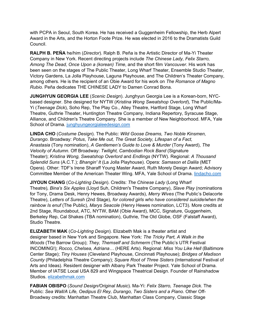with PCPA in Seoul, South Korea. He has received a Guggenheim Fellowship, the Herb Alpert Award in the Arts, and the Horton Foote Prize. He was elected in 2016 to the Dramatists Guild Council.

**RALPH B. PEÑA** he/him (*Director*). Ralph B. Peña is the Artistic Director of Ma-Yi Theater Company in New York. Recent directing projects include *The Chinese Lady, Felix Starro, Among The Dead, Once Upon a (korean) Time*, and the short film *Vancouver*. His work has been seen on the stages of The Public Theater, Long Wharf Theater, Ensemble Studio Theater, Victory Gardens, La Jolla Playhouse, Laguna Playhouse, and The Children's Theater Company, among others. He is the recipient of an Obie Award for his work on *The Romance of Magno Rubio.* Peña dedicates THE CHINESE LADY to Damen Conrad Bona.

**JUNGHYUN GEORGIA LEE** (*Scenic Design*). Junghyun Georgia Lee is a Korean-born, NYCbased designer. She designed for NYTW (*Kristina Wong Sweatshop Overlord*), The Public/Ma-Yi (*Teenage Dick*), Soho Rep, The Play Co., Alley Theatre, Hartford Stage, Long Wharf Theatre, Guthrie Theater, Huntington Theatre Company, Indiana Repertory, Syracuse Stage, Alliance, and Children's Theatre Company. She is a member of New Neighborhood. MFA, Yale School of Drama. [junghyungeorgialeedesign.com](https://www.junghyungeorgialeedesign.com/)

**LINDA CHO** (*Costume Design*). The Public: *Wild Goose Dreams, Two Noble Kinsmen, Durango*. Broadway: *Potus*, *Take Me out, The Great Society, Lifespan of a Fact, Anastasia* (Tony nomination), *A Gentlemen's Guide to Love & Murder* (Tony Award), *The Velocity of Autumn.* Off Broadway: *Twilight, Cambodian Rock Band* (Signature Theater); *Kristina Wong, Sweatshop Overlord* and *Endlings* (NYTW). Regional: *A Thousand Splendid Suns* (A.C.T.); *Bhangin' It* (La Jolla Playhouse). Opera: *Samason et Dalila* (MET Opera). Other: TDF's Irene Sharaff Young Master Award, Ruth Morely Design Award; Advisory Committee Member of the American Theater Wing. MFA, Yale School of Drama. [lindacho.com](https://nam10.safelinks.protection.outlook.com/?url=http%3A%2F%2Flindacho.com%2F&data=04%7C01%7C%7C2d115c0a9c564d8142e808d9e98b83ef%7C819f3c4644b8404c8220f690820adca2%7C0%7C1%7C637797607727630834%7CUnknown%7CTWFpbGZsb3d8eyJWIjoiMC4wLjAwMDAiLCJQIjoiV2luMzIiLCJBTiI6Ik1haWwiLCJXVCI6Mn0%3D%7C0&sdata=%2FOm4D8%2ByBoG8NtRjbe42pMKxjvjhDSY8sfL9rkAJqq0%3D&reserved=0)

**JIYOUN CHANG** (*Co-Lighting Design*). Credits: *The Chinese Lady* (Long Wharf Theatre)*, Bina's Six Apples* (Lloyd Suh, Children's Theatre Company), *Slave Play* (nominations for Tony, Drama Desk, Henry Hewes, Broadway Awards), *Merry Wives* (The Public's Delacorte Theatre), *Letters of Suresh* (2nd Stage), *for colored girls who have considered suicide/when the rainbow Is enuf* (The Public), *Marys Seacole* (Henry Hewes nomination, LCT3)*.* More credits at 2nd Stage, Roundabout, ATC, NYTW, BAM (Obie Award), MCC, Signature, Guggenheim, Berkeley Rep, Cal Shakes (TBA nomination), Guthrie*,* The Old Globe, OSF (Falstaff Award), Studio Theatre.

**ELIZABETH MAK** (*Co-Lighting Design*). Elizabeth Mak is a theater artist and designer based in New York and Singapore. New York: *The Tricky Part, A Walk in the Woods* (The Barrow Group); *They, Themself and Schmerm* (The Public's UTR Festival INCOMING!); *Rocco, Chelsea, Adriana…* (HERE Arts). Regional: *Miss You Like Hell* (Baltimore Center Stage); *Tiny Houses* (Cleveland Playhouse, Cincinnati Playhouse); *Bridges of Madison County* (Philadelphia Theatre Company); *Square Root of Three Sisters* (International Festival of Arts and Ideas). Resident designer with Albany Park Theater Project. Yale School of Drama. Member of IATSE Local USA 829 and Wingspace Theatrical Design. Founder of Rainshadow Studios. [elizabethmak.com](https://nam10.safelinks.protection.outlook.com/?url=http%3A%2F%2Felizabethmak.com%2F&data=04%7C01%7C%7C485a8582f9c34ceafeb708d9d1918ebc%7C819f3c4644b8404c8220f690820adca2%7C0%7C0%7C637771245457548474%7CUnknown%7CTWFpbGZsb3d8eyJWIjoiMC4wLjAwMDAiLCJQIjoiV2luMzIiLCJBTiI6Ik1haWwiLCJXVCI6Mn0%3D%7C3000&sdata=b%2B5Zd9y%2FpJTv9IoDfpFqDf5TiMSOLE60v3Ta1du7USU%3D&reserved=0)

**FABIAN OBISPO** (*Sound Design/Original Music*). Ma-Yi: *Felix Starro, Teenage Dick*. The Public: *Sea Wall/A Life, Oedipus El Rey, Durango, Two Sisters and a Piano*. Other Off-Broadway credits: Manhattan Theatre Club, Manhattan Class Company, Classic Stage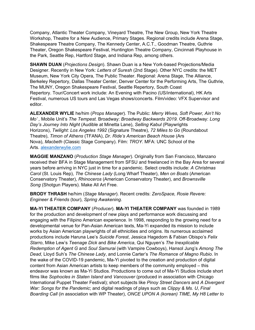Company, Atlantic Theater Company, Vineyard Theatre, The New Group, New York Theatre Workshop, Theatre for a New Audience, Primary Stages. Regional credits include Arena Stage, Shakespeare Theatre Company, The Kennedy Center, A.C.T., Goodman Theatre, Guthrie Theater, Oregon Shakespeare Festival, Huntington Theatre Company, Cincinnati Playhouse in the Park, Seattle Rep, Hartford Stage, and Indiana Rep, among others.

**SHAWN DUAN** (*Projections Design*). Shawn Duan is a New York-based Projections/Media Designer. Recently in New York: *Letters of Suresh* (2nd Stage). Other NYC credits: the MET Museum, New York City Opera, The Public Theater. Regional: Arena Stage, The Alliance, Berkeley Repertory, Dallas Theater Center, Denver Center for the Performing Arts, The Guthrie, The MUNY, Oregon Shakespeare Festival, Seattle Repertory, South Coast Repertory. Tour/Concert work include: An Evening with Pacino (US/international), HK Arts Festival, numerous US tours and Las Vegas shows/concerts. Film/video: VFX Supervisor and editor.

**ALEXANDER WYLIE** he/him (*Props Manager*). The Public: *Merry Wives, Soft Power, Ain't No Mo' ,* Mobile Unit's *The Tempest.* Broadway: *Broadway Backwards 2019.* Off-Broadway: *Long Day's Journey Into Night* (Audible at Minetta Lane), *Selling Kabul* (Playwrights Horizons), *Twilight: Los Angeles 1992* (Signature Theatre), *72 Miles to Go* (Roundabout Theatre), *Timon of Athens* (TFANA), *Dr. Ride's American Beach House* (Ars Nova), *Macbeth* (Classic Stage Company). Film: *TROY*. MFA: UNC School of the Arts. [alexanderwylie.com](https://nam10.safelinks.protection.outlook.com/?url=http%3A%2F%2Falexanderwylie.com%2F&data=04%7C01%7C%7C7ba1937a48c747a649d708d9e5bb1d1f%7C819f3c4644b8404c8220f690820adca2%7C0%7C0%7C637793414080702560%7CUnknown%7CTWFpbGZsb3d8eyJWIjoiMC4wLjAwMDAiLCJQIjoiV2luMzIiLCJBTiI6Ik1haWwiLCJXVCI6Mn0%3D%7C3000&sdata=ZwDJphrTplt%2BugbJT7haSnWVKdqEAKpZ9j2qRVduJzw%3D&reserved=0)

**MAGGIE MANZANO** (*Production Stage Manager*). Originally from San Francisco, Manzano received their BFA in Stage Management from SFSU and freelanced in the Bay Area for several years before arriving in NYC just in time for a pandemic. Select credits include: *A Christmas Carol* (St. Louis Rep), *The Chinese Lady* (Long Wharf Theater), *Men on Boats* (American Conservatory Theater), *Rhinoceros* (American Conservatory Theater), and *Brownsville Song* (Shotgun Players). Make All Art Free.

**BRODY THRASH** he/him (*Stage Manager*). Recent credits: *ZeroSpace, Rosie Revere: Engineer & Friends* (tour), *Spring Awakening*.

**MA-YI THEATER COMPANY** (*Producer*). **MA-YI THEATER COMPANY** was founded in 1989 for the production and development of new plays and performance work discussing and engaging with the Filipino American experience. In 1998, responding to the growing need for a developmental venue for Pan-Asian American texts, Ma-Yi expanded its mission to include works by Asian American playwrights of all ethnicities and origins. Its numerous acclaimed productions include Haruna Lee's *Suicide Forest*, Jessica Hagedorn & Fabian Obispo's *Felix Starro*, Mike Lew's *Teenage Dick* and *Bike America*, Qui Nguyen's *The Inexplicable Redemption of Agent G* and *Soul Samurai* (with Vampire Cowboys), Hansol Jung's *Among The Dead*, Lloyd Suh's *The Chinese Lady*, and Lonnie Carter's *The Romance of Magno Rubio*. In the wake of the COVID-19 pandemic, Ma-Yi pivoted to the creation and production of digital content from Asian American artists to keep members of the community employed – this endeavor was known as Ma-Yi Studios. Productions to come out of Ma-Yi Studios include short films like *Sophocles in Staten Island* and *Vancouver* (produced in association with Chicago International Puppet Theater Festival); short subjects like *Pinoy Street Dancers* and *A Divergent War: Songs for the Pandemic*; and digital readings of plays such as *Clippy & Ms. U*, *Final Boarding Call* (in association with WP Theater), *ONCE UPON A (korean) TIME, My H8 Letter to*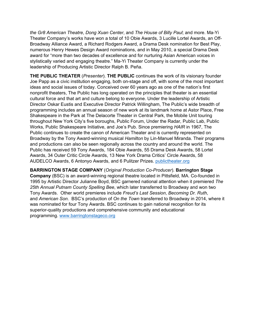*the Gr8 American Theatre*, *Dong Xuan Center*, and *The House of Billy Paul*; and more. Ma-Yi Theater Company's works have won a total of 10 Obie Awards, 3 Lucille Lortel Awards, an Off-Broadway Alliance Award, a Richard Rodgers Award, a Drama Desk nomination for Best Play, numerous Henry Hewes Design Award nominations, and in May 2010, a special Drama Desk award for "more than two decades of excellence and for nurturing Asian American voices in stylistically varied and engaging theatre." Ma-Yi Theater Company is currently under the leadership of Producing Artistic Director Ralph B. Peña.

**THE PUBLIC THEATER** (*Presenter*). **THE PUBLIC** continues the work of its visionary founder Joe Papp as a civic institution engaging, both on-stage and off, with some of the most important ideas and social issues of today. Conceived over 60 years ago as one of the nation's first nonprofit theaters, The Public has long operated on the principles that theater is an essential cultural force and that art and culture belong to everyone. Under the leadership of Artistic Director Oskar Eustis and Executive Director Patrick Willingham, The Public's wide breadth of programming includes an annual season of new work at its landmark home at Astor Place, Free Shakespeare in the Park at The Delacorte Theater in Central Park, the Mobile Unit touring throughout New York City's five boroughs, Public Forum, Under the Radar, Public Lab, Public Works, Public Shakespeare Initiative, and Joe's Pub. Since premiering *HAIR* in 1967, The Public continues to create the canon of American Theater and is currently represented on Broadway by the Tony Award-winning musical *Hamilton* by Lin-Manuel Miranda. Their programs and productions can also be seen regionally across the country and around the world. The Public has received 59 Tony Awards, 184 Obie Awards, 55 Drama Desk Awards, 58 Lortel Awards, 34 Outer Critic Circle Awards, 13 New York Drama Critics' Circle Awards, 58 AUDELCO Awards, 6 Antonyo Awards, and 6 Pulitzer Prizes. [publictheater.org](http://publictheater.org/)

**BARRINGTON STAGE COMPANY** (*Original Production Co-Producer*). **Barrington Stage Company** (BSC) is an award-winning regional theatre located in Pittsfield, MA. Co-founded in 1995 by Artistic Director Julianne Boyd, BSC garnered national attention when it premiered *The 25th Annual Putnam County Spelling Bee*, which later transferred to Broadway and won two Tony Awards. Other world premieres include *Freud's Last Session*, *Becoming Dr. Ruth*, and *American Son*. BSC's production of *On the Town* transferred to Broadway in 2014, where it was nominated for four Tony Awards. BSC continues to gain national recognition for its superior-quality productions and comprehensive community and educational programming. [www.barringtonstageco.org](https://nam10.safelinks.protection.outlook.com/?url=http%3A%2F%2Fwww.barringtonstageco.org%2F&data=04%7C01%7C%7C519d46a842fb452c72db08d9ebfdb874%7C819f3c4644b8404c8220f690820adca2%7C0%7C0%7C637800297245794423%7CUnknown%7CTWFpbGZsb3d8eyJWIjoiMC4wLjAwMDAiLCJQIjoiV2luMzIiLCJBTiI6Ik1haWwiLCJXVCI6Mn0%3D%7C3000&sdata=8K%2BRJFw6YxwcLtLuPstF1jORzGEd2IlEz2QtRJ7DtqU%3D&reserved=0)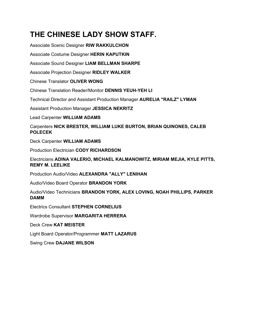# **THE CHINESE LADY SHOW STAFF.**

Associate Scenic Designer **RIW RAKKULCHON** Associate Costume Designer **HERIN KAPUTKIN** Associate Sound Designer **LIAM BELLMAN SHARPE** Associate Projection Designer **RIDLEY WALKER** Chinese Translator **OLIVER WONG** Chinese Translation Reader/Monitor **DENNIS YEUH-YEH LI** Technical Director and Assistant Production Manager **AURELIA "RAILZ" LYMAN** Assistant Production Manager **JESSICA NEKRITZ** Lead Carpenter **WILLIAM ADAMS** Carpenters **NICK BRESTER, WILLIAM LUKE BURTON, BRIAN QUINONES, CALEB POLECEK** Deck Carpenter **WILLIAM ADAMS** Production Electrician **CODY RICHARDSON** Electricians **ADINA VALERIO, MICHAEL KALMANOWITZ, MIRIAM MEJIA, KYLE PITTS, REMY M. LEELIKE** Production Audio/Video **ALEXANDRA "ALLY" LENIHAN** Audio/Video Board Operator **BRANDON YORK** Audio/Video Technicians **BRANDON YORK, ALEX LOVING, NOAH PHILLIPS, PARKER DAMM** Electrics Consultant **STEPHEN CORNELIUS**

Wardrobe Supervisor **MARGARITA HERRERA**

Deck Crew **KAT MEISTER**

Light Board Operator/Programmer **MATT LAZARUS**

Swing Crew **DAJANE WILSON**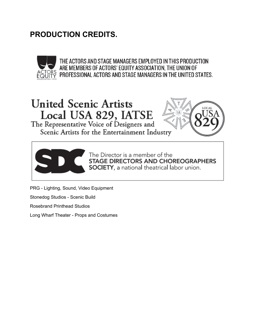# **PRODUCTION CREDITS.**



THE ACTORS AND STAGE MANAGERS EMPLOYED IN THIS PRODUCTION ARE MEMBERS OF ACTORS' EQUITY ASSOCIATION, THE UNION OF  $\widetilde{P}$  professional actors and stage managers in the united states.

# United Scenic Artists Local USA 829, IATSI

The Representative Voice of Designers a Scenic Artists for the Entertainment Industry





The Director is a member of the **STAGE DIRECTORS AND CHOREOGRAPHERS SOCIETY,** a national theatrical labor union.

PRG - Lighting, Sound, Video Equipment

Stonedog Studios - Scenic Build

Rosebrand Printhead Studios

Long Wharf Theater - Props and Costumes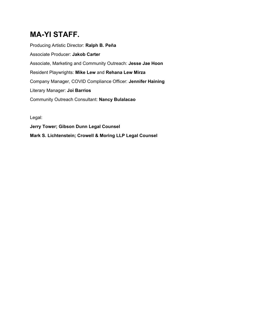# **MA-YI STAFF.**

Producing Artistic Director: **Ralph B. Peña** Associate Producer: **Jakob Carter** Associate, Marketing and Community Outreach: **Jesse Jae Hoon** Resident Playwrights: **Mike Lew** and **Rehana Lew Mirza** Company Manager, COVID Compliance Officer: **Jennifer Haining** Literary Manager: **Joi Barrios** Community Outreach Consultant: **Nancy Bulalacao**

Legal:

**Jerry Tower; Gibson Dunn Legal Counsel Mark S. Lichtenstein; Crowell & Moring LLP Legal Counsel**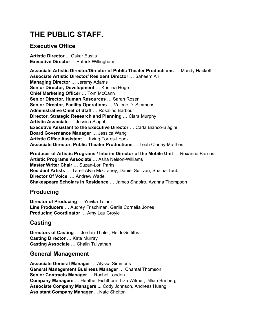# **THE PUBLIC STAFF.**

## **Executive Office**

**Artistic Director** ... Oskar Eustis **Executive Director** ... Patrick Willingham

**Associate Artistic Director/Director of Public Theater Product**i **ons** … Mandy Hackett **Associate Artistic Director/ Resident Director** … Saheem Ali **Managing Director** … Jeremy Adams **Senior Director, Development** … Kristina Hoge **Chief Marketing Officer** … Tom McCann **Senior Director, Human Resources** … Sarah Rosen **Senior Director, Facility Operations** … Valerie D. Simmons **Administrative Chief of Staff** … Rosalind Barbour **Director, Strategic Research and Planning** … Ciara Murphy **Artistic Associate** … Jessica Slaght **Executive Assistant to the Executive Director** … Carla Bianco-Biagini **Board Governance Manager** … Jessica Wang **Artistic Office Assistant** … Irving Torres-Lopez **Associate Director, Public Theater Productions** … Leah Cloney-Matthes

**Producer of Artistic Programs / Interim Director of the Mobile Unit** … Roxanna Barrios **Artistic Programs Associate** … Asha Nelson-Williams **Master Writer Chair** … Suzan-Lori Parks **Resident Artists** … Tarell Alvin McCraney, Daniel Sullivan, Shaina Taub **Director Of Voice** … Andrew Wade **Shakespeare Scholars In Residence** … James Shapiro, Ayanna Thompson

## **Producing**

**Director of Producing** … Yuvika Tolani **Line Producers** … Audrey Frischman, Garlia Cornelia Jones **Producing Coordinator** … Amy Lau Croyle

# **Casting**

**Directors of Casting** … Jordan Thaler, Heidi Griffiths **Casting Director** … Kate Murray **Casting Associate** … Chalin Tulyathan

#### **General Management**

**Associate General Manager** … Alyssa Simmons **General Management Business Manager** … Chantal Thomson **Senior Contracts Manager** … Rachel London **Company Managers** … Heather Fichthorn, Liza Witmer, Jillian Brinberg **Associate Company Managers** ... Cody Johnson, Andreas Huang **Assistant Company Manager** ... Nate Shelton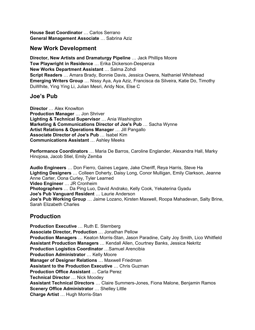**House Seat Coordinator** … Carlos Serrano **General Management Associate** … Sabrina Aziz

#### **New Work Development**

**Director, New Artists and Dramaturgy Pipeline** … Jack Phillips Moore **Tow Playwright in Residence** … Erika Dickerson-Despenza **New Works Department Assistant** … Salma Zohdi **Script Readers** … Amara Brady, Bonnie Davis, Jessica Owens, Nathaniel Whitehead **Emerging Writers Group** … Nissy Aya, Aya Aziz, Francisca da Silveira, Katie Do, Timothy DuWhite, Ying Ying Li, Julian Mesri, Aridy Nox, Else C

#### **Joe's Pub**

**Director** … Alex Knowlton **Production Manager** … Jon Shriver **Lighting & Technical Supervisor** … Ania Washington **Marketing & Communications Director of Joe's Pub** … Sacha Wynne **Artist Relations & Operations Manager** … Jill Pangallo **Associate Director of Joe's Pub** … Isabel Kim **Communications Assistant** … Ashley Meeks

**Performance Coordinators** … Maria De Barros, Caroline Englander, Alexandra Hall, Marky Hinojosa, Jacob Stiel, Emily Zemba

**Audio Engineers** … Don Fierro, Gaines Legare, Jake Cheriff, Reya Harris, Steve Ha **Lighting Designers** … Colleen Doherty, Daisy Long, Conor Mulligan, Emily Clarkson, Jeanne Anne Carter, Oona Curley, Tyler Learned **Video Engineer** … JR Cronheim **Photographers** … Da Ping Luo, David Andrako, Kelly Cook, Yekaterina Gyadu **Joe's Pub Vanguard Resident** … Laurie Anderson **Joe's Pub Working Group** … Jaime Lozano, Kirsten Maxwell, Roopa Mahadevan, Salty Brine, Sarah Elizabeth Charles

## **Production**

**Production Executive** … Ruth E. Sternberg **Associate Director, Production** … Jonathan Pellow **Production Managers** … Keaton Morris-Stan, Jason Paradine, Caity Joy Smith, Lico Whitfield **Assistant Production Managers** … Kendall Allen, Courtney Banks, Jessica Nekritz **Production Logistics Coordinator** …Samuel Arencibia **Production Administrator** … Kelly Moore **Manager of Designer Relations** … Maxwell Friedman **Assistant to the Production Executive** … Chris Guzman **Production Office Assistant** … Carla Perez **Technical Director** … Nick Moodey **Assistant Technical Directors** … Claire Summers-Jones, Fiona Malone, Benjamin Ramos **Scenery Office Administrator** … Shelley Little **Charge Artist** … Hugh Morris-Stan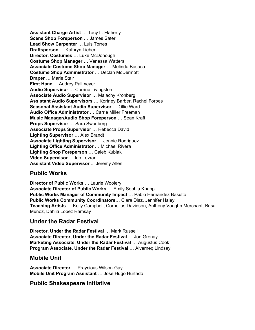**Assistant Charge Artist** … Tacy L. Flaherty **Scene Shop Foreperson** … James Sater **Lead Show Carpenter** … Luis Torres **Draftsperson** … Kathryn Lieber **Director, Costumes** … Luke McDonough **Costume Shop Manager** … Vanessa Watters **Associate Costume Shop Manager** … Melinda Basaca **Costume Shop Administrator** … Declan McDermott **Draper** … Marie Stair **First Hand** ... Audrey Pallmeyer **Audio Supervisor** … Corrine Livingston **Associate Audio Supervisor** … Malachy Kronberg **Assistant Audio Supervisors** … Kortney Barber, Rachel Forbes **Seasonal Assistant Audio Supervisor** … Ollie Ward **Audio Office Administrator** … Carrie Miller Freeman **Music Manager/Audio Shop Foreperson** … Sean Kraft **Props Supervisor** … Sara Swanberg **Associate Props Supervisor** … Rebecca David **Lighting Supervisor** … Alex Brandt **Associate Lighting Supervisor** … Jennie Rodriguez **Lighting Office Administrator** … Michael Rivera **Lighting Shop Foreperson** … Caleb Kubiak **Video Supervisor** … Ido Levran **Assistant Video Supervisor** ... Jeremy Allen

## **Public Works**

**Director of Public Works** … Laurie Woolery **Associate Director of Public Works** … Emily Sophia Knapp **Public Works Manager of Community Impact** … Pablo Hernandez Basulto **Public Works Community Coordinators**… Clara Diaz, Jennifer Haley **Teaching Artists** … Kelly Campbell, Cornelius Davidson, Anthony Vaughn Merchant, Brisa Muñoz, Dahlia Lopez Ramsay

#### **Under the Radar Festival**

**Director, Under the Radar Festival** … Mark Russell **Associate Director, Under the Radar Festival** … Jon Grenay **Marketing Associate, Under the Radar Festival** … Augustus Cook **Program Associate, Under the Radar Festival** … Alverneq Lindsay

#### **Mobile Unit**

**Associate Director** … Praycious Wilson-Gay **Mobile Unit Program Assistant** … Jose Hugo Hurtado

#### **Public Shakespeare Initiative**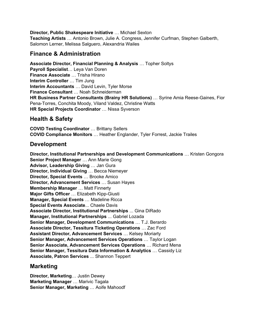#### **Director, Public Shakespeare Initiative** … Michael Sexton

**Teaching Artists** … Antonio Brown, Julie A. Congress, Jennifer Curfman, Stephen Galberth, Salomon Lerner, Melissa Salguero, Alexandria Wailes

#### **Finance & Administration**

**Associate Director, Financial Planning & Analysis** … Topher Soltys **Payroll Specialist**… Leya Van Doren **Finance Associate** … Trisha Hirano **Interim Controller** … Tim Jung **Interim Accountants** … David Levin, Tyler Morse **Finance Consultant** … Noah Schneiderman **HR Business Partner Consultants (Brainy HR Solutions)** … Syrine Amia Reese-Gaines, Fior Pena-Torres, Conchita Moody, Viland Valdez, Christine Watts **HR Special Projects Coordinator** … Nissa Syverson

## **Health & Safety**

**COVID Testing Coordinator** … Brittany Sellers **COVID Compliance Monitors** … Heather Englander, Tyler Forrest, Jackie Trailes

#### **Development**

**Director, Institutional Partnerships and Development Communications** … Kristen Gongora **Senior Project Manager** … Ann Marie Gong **Advisor, Leadership Giving** … Jan Gura **Director, Individual Giving** … Becca Niemeyer **Director, Special Events** … Brooke Amico **Director, Advancement Services** … Susan Hayes **Membership Manager** … Matt Finnerty **Major Gifts Officer** … Elizabeth Kipp-Giusti **Manager, Special Events** … Madeline Ricca **Special Events Associate**... Chaele Davis **Associate Director, Institutional Partnerships** ... Gina DiRado **Manager, Institutional Partnerships** ... Gabriel Lozada **Senior Manager, Development Communications** … T.J. Berardo **Associate Director, Tessitura Ticketing Operations** … Zac Ford **Assistant Director, Advancement Services** … Kelsey Moriarty **Senior Manager, Advancement Services Operations** … Taylor Logan **Senior Associate, Advancement Services Operations** … Richard Mena **Senior Manager, Tessitura Data Information & Analytics** … Cassidy Liz **Associate, Patron Services** ... Shannon Teppert

#### **Marketing**

**Director, Marketing**… Justin Dewey **Marketing Manager** … Marivic Tagala **Senior Manager, Marketing** … Aoife Mahoodf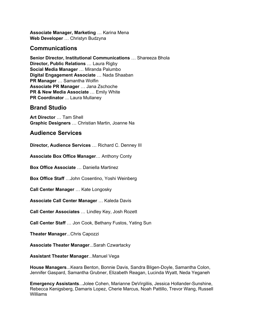**Associate Manager, Marketing** … Karina Mena **Web Developer** … Christyn Budzyna

#### **Communications**

**Senior Director, Institutional Communications** … Shareeza Bhola **Director, Public Relations** … Laura Rigby **Social Media Manager** … Miranda Palumbo **Digital Engagement Associate** … Nada Shaaban **PR Manager** … Samantha Wolfin **Associate PR Manager** … Jana Zschoche **PR & New Media Associate** … Emily White **PR Coordinator** ... Laura Mullaney

#### **Brand Studio**

**Art Director** … Tam Shell **Graphic Designers** … Christian Martin, Joanne Na

#### **Audience Services**

**Director, Audience Services** … Richard C. Denney III

**Associate Box Office Manager**… Anthony Conty

**Box Office Associate** … Daniella Martinez

**Box Office Staff** …John Cosentino, Yoshi Weinberg

**Call Center Manager** … Kate Longosky

**Associate Call Center Manager** … Kaleda Davis

**Call Center Associates** … Lindley Key, Josh Rozett

**Call Center Staff** … Jon Cook, Bethany Fustos, Yating Sun

**Theater Manager**...Chris Capozzi

**Associate Theater Manager**...Sarah Czwartacky

**Assistant Theater Manager**...Manuel Vega

**House Managers**...Keara Benton, Bonnie Davis, Sandra Bligen-Doyle, Samantha Colon, Jennifer Gaspard, Samantha Grubner, Elizabeth Reagan, Lucinda Wyatt, Neda Yeganeh

**Emergency Assistants**...Jolee Cohen, Marianne DeVirgiliis, Jessica Hollander-Sunshine, Rebecca Kenigsberg, Damaris Lopez, Cherie Marcus, Noah Pattillo, Trevor Wang, Russell Williams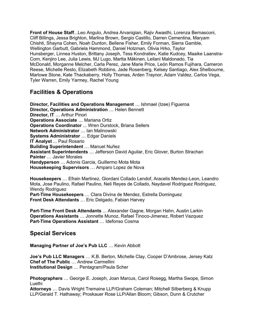**Front of House Staff**...Leo Angulo, Andrea Arvanigian, Rajiv Awasthi, Lorenza Bernasconi, Cliff Billings, Jessa Brighton, Marlina Brown, Sergio Castillo, Darren Cementina, Maryam Chishti, Shayna Cohen, Noah Dunton, Bellene Fisher, Emily Forman, Sierra Gamble, Wellington Garbutt, Gabriela Hammond, Daniel Holzman, Olivia Hrko, Taylor Hunsberger, Linnea Huston, Brittany Joseph, Tess Kondratiev, Katie Kudcey, Maaike Laanstra-Corn, Kenjiro Lee, Julia Lewis, MJ Lugo, Martta Mäkinen, Leilani Maldonado, Tia McDonald, Morganne Melcher, Carla Perez, Jane Marie Price, León Ramos Fujihara, Cameron Reese, Michelle Resto, Elizabeth Robbins, Jade Rosenberg, Kelsey Santiago, Alex Shelbourne, Marlowe Stone, Kate Thackaberry, Holly Thomas, Arden Traynor, Adam Valdez, Carlos Vega, Tyler Warren, Emily Yarmey, Rachel Young

## **Facilities & Operations**

**Director, Facilities and Operations Management** … Ishmael (Izee) Figueroa **Director, Operations Administration** … Helen Bennett **Director, IT** … Arthur Pinori **Operations Associate** … Mariana Ortiz **Operations Coordinator** ... Wren Durstock, Briana Sellers **Network Administrator** … Ian Malinowski **Systems Administrator** … Edgar Daniels **IT Analyst** ... Paul Rosario **Building Superintendent** … Manuel Nuñez **Assistant Superintendents** … Jefferson David Aguilar, Eric Glover, Burton Strachan **Painter** … Javier Morales **Handyperson** … Adonis Garcia, Guillermo Mota Mota **Housekeeping Supervisors** … Amparo Lopez de Nova

**Housekeepers** … Efrain Martinez, Giordani Collado Lendof, Aracelis Mendez-Leon, Leandro Mota, Jose Paulino, Rafael Paulino, Neli Reyes de Collado, Naydavel Rodriguez Rodriguez, Wendy Rodriguez **Part-Time Housekeepers** … Clara Divina de Mendez, Estrella Dominguez **Front Desk Attendants** … Eric Delgado, Fabian Harvey

**Part-Time Front Desk Attendants** ... Alexander Gagne, Morgan Hahn, Austin Larkin **Operations Assistants** … Jonnette Munoz, Rafael Tinoco-Jimenez, Robert Vazquez **Part-Time Operations Assistant** … Idefonso Cosma

#### **Special Services**

**Managing Partner of Joe's Pub LLC** … Kevin Abbott

**Joe's Pub LLC Managers** … K.B. Berton, Michelle Clay, Cooper D'Ambrose, Jersey Katz **Chef of The Public** … Andrew Carmellini **Institutional Design** … Pentagram/Paula Scher

**Photographers** … George E. Joseph, Joan Marcus, Carol Rosegg, Martha Swope, Simon Luethi

**Attorneys** … Davis Wright Tremaine LLP/Graham Coleman; Mitchell Silberberg & Knupp LLP/Gerald T. Hathaway; Proskauer Rose LLP/Allan Bloom; Gibson, Dunn & Crutcher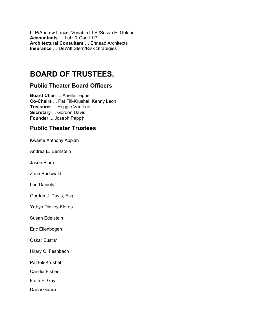LLP/Andrew Lance; Venable LLP /Susan E. Golden **Accountants** … Lutz & Carr LLP **Architectural Consultant** … Ennead Architects **Insurance** … DeWitt Stern/Risk Strategies

# **BOARD OF TRUSTEES.**

### **Public Theater Board Officers**

**Board Chair** ... Arielle Tepper **Co-Chairs** ... Pat Fili-Krushel, Kenny Leon **Treasurer** ... Reggie Van Lee **Secretary** ... Gordon Davis **Founder** ... Joseph Papp†

# **Public Theater Trustees**

Kwame Anthony Appiah

Andrea E. Bernstein

Jason Blum

Zach Buchwald

Lee Daniels

Gordon J. Davis, Esq.

Yrthya Dinzey-Flores

Susan Edelstein

Eric Ellenbogen

Oskar Eustis\*

Hilary C. Feshbach

Pat Fili-Krushel

Candia Fisher

Faith E. Gay

Danai Gurira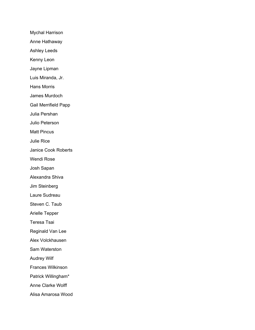Mychal Harrison Anne Hathaway Ashley Leeds Kenny Leon Jayne Lipman Luis Miranda, Jr. Hans Morris James Murdoch Gail Merrifield Papp Julia Pershan Julio Peterson Matt Pincus Julie Rice Janice Cook Roberts Wendi Rose Josh Sapan Alexandra Shiva Jim Steinberg Laure Sudreau Steven C. Taub Arielle Tepper Teresa Tsai Reginald Van Lee Alex Volckhausen Sam Waterston Audrey Wilf Frances Wilkinson Patrick Willingham\* Anne Clarke Wolff Alisa Amarosa Wood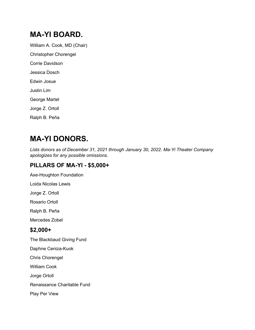# **MA-YI BOARD.**

William A. Cook, MD (Chair) Christopher Chorengel Corrie Davidson Jessica Dosch Edwin Josue Justin Lim George Martel Jorge Z. Ortoll Ralph B. Peña

# **MA-YI DONORS.**

*Lists donors as of December 31, 2021 through January 30, 2022. Ma-Yi Theater Company apologizes for any possible omissions.*

## **PILLARS OF MA-YI - \$5,000+**

Axe-Houghton Foundation

Loida Nicolas Lewis

Jorge Z. Ortoll

Rosario Ortoll

Ralph B. Peña

Mercedes Zobel

#### **\$2,000+**

The Blackbaud Giving Fund

Daphne Ceniza-Kuok

Chris Chorengel

William Cook

Jorge Ortoll

Renaissance Charitable Fund

Play Per View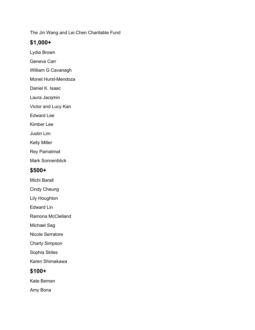The Jin Wang and Lei Chen Charitable Fund

### **\$1,000+**

- Lydia Brown
- Geneva Carr
- William G Cavanagh
- Monet Hurst-Mendoza
- Daniel K. Isaac
- Laura Jacqmin
- Victor and Lucy Kan
- Edward Lee
- Kimber Lee
- Justin Lim
- Kelly Miller
- Rey Pamatmat
- Mark Sonnenblick

## **\$500+**

- Michi Barall
- Cindy Cheung
- Lily Houghton
- Edward Lin
- Ramona McClelland
- Michael Sag
- Nicole Serratore
- Charly Simpson
- Sophia Skiles
- Karen Shimakawa

## **\$100+**

- Kate Beman
- Amy Bona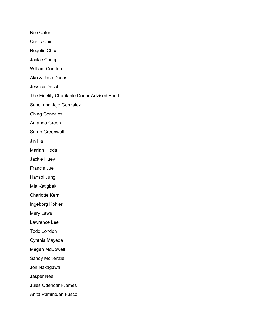Nilo Cater Curtis Chin Rogelio Chua Jackie Chung William Condon Ako & Josh Dachs Jessica Dosch The Fidelity Charitable Donor-Advised Fund Sandi and Jojo Gonzalez Ching Gonzalez Amanda Green Sarah Greenwalt Jin Ha Marian Hieda Jackie Huey Francis Jue Hansol Jung Mia Katigbak Charlotte Kern Ingeborg Kohler Mary Laws Lawrence Lee Todd London Cynthia Mayeda Megan McDowell Sandy McKenzie Jon Nakagawa Jasper Nee Jules Odendahl-James Anita Pamintuan Fusco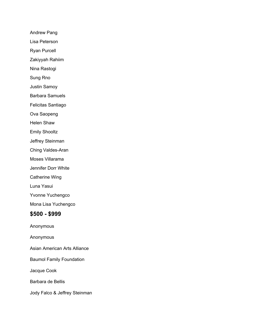Andrew Pang

Lisa Peterson

Ryan Purcell

Zakiyyah Rahiim

Nina Rastogi

Sung Rno

Justin Samoy

Barbara Samuels

Felicitas Santiago

Ova Saopeng

Helen Shaw

Emily Shooltz

Jeffrey Steinman

Ching Valdes-Aran

Moses Villarama

Jennifer Dorr White

Catherine Wing

Luna Yasui

Yvonne Yuchengco

Mona Lisa Yuchengco

#### **\$500 - \$999**

Anonymous

Anonymous

Asian American Arts Alliance

Baumol Family Foundation

Jacque Cook

Barbara de Bellis

Jody Falco & Jeffrey Steinman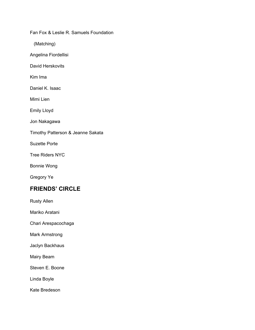Fan Fox & Leslie R. Samuels Foundation

(Matching)

Angelina Fiordellisi

David Herskovits

Kim Ima

Daniel K. Isaac

Mimi Lien

Emily Lloyd

Jon Nakagawa

Timothy Patterson & Jeanne Sakata

Suzette Porte

Tree Riders NYC

Bonnie Wong

Gregory Ye

## **FRIENDS' CIRCLE**

Rusty Allen

Mariko Aratani

Chari Arespacochaga

Mark Armstrong

Jaclyn Backhaus

Mairy Beam

Steven E. Boone

Linda Boyle

Kate Bredeson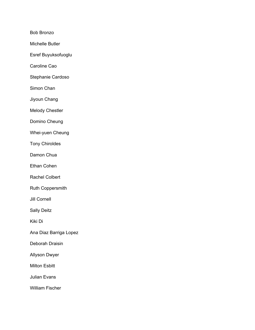Bob Bronzo

Michelle Butler

Esref Buyuksofuoglu

Caroline Cao

Stephanie Cardoso

Simon Chan

Jiyoun Chang

Melody Chestler

Domino Cheung

Whei-yuen Cheung

Tony Chiroldes

Damon Chua

Ethan Cohen

Rachel Colbert

Ruth Coppersmith

Jill Cornell

Sally Deitz

Kiki Di

Ana Diaz Barriga Lopez

Deborah Draisin

Allyson Dwyer

Milton Esbitt

Julian Evans

William Fischer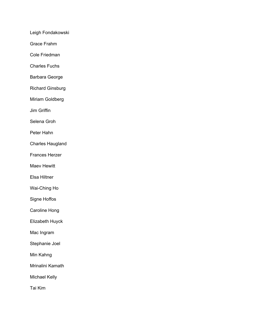Leigh Fondakowski

Grace Frahm

Cole Friedman

Charles Fuchs

Barbara George

Richard Ginsburg

Miriam Goldberg

Jim Griffin

Selena Groh

Peter Hahn

Charles Haugland

Frances Herzer

Maev Hewitt

Elsa Hiltner

Wai-Ching Ho

Signe Hoffos

Caroline Hong

Elizabeth Huyck

Mac Ingram

Stephanie Joel

Min Kahng

Mrinalini Kamath

Michael Kelly

Tai Kim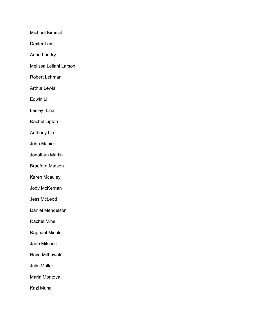Michael Kimmel

Dexter Lam

Anne Landry

Melissa Leilani Larson

Robert Lehman

Arthur Lewis

Edwin Li

Lesley Lina

Rachel Lipton

Anthony Liu

John Manier

Jonathan Martin

Bradford Matson

Karen Mcauley

Jody McKernan

Jess McLeod

Daniel Mendelson

Rachel Mine

Raphael Mishler

Jane Mitchell

Haya Mithawala

Julie Moller

Maria Montoya

Kazi Muna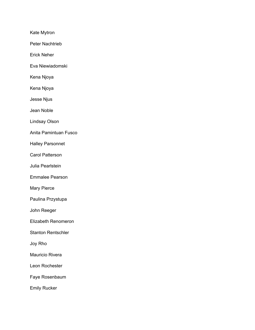Kate Mytron

Peter Nachtrieb

Erick Neher

Eva Niewiadomski

Kena Njoya

Kena Njoya

Jesse Njus

Jean Noble

Lindsay Olson

Anita Pamintuan Fusco

Halley Parsonnet

Carol Patterson

Julia Pearlstein

Emmalee Pearson

Mary Pierce

Paulina Przystupa

John Reeger

Elizabeth Renomeron

Stanton Rentschler

Joy Rho

Mauricio Rivera

Leon Rochester

Faye Rosenbaum

Emily Rucker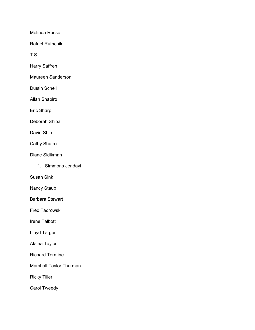Melinda Russo

Rafael Ruthchild

T.S.

Harry Saffren

Maureen Sanderson

Dustin Schell

Allan Shapiro

Eric Sharp

Deborah Shiba

David Shih

Cathy Shufro

Diane Sidikman

1. Simmons Jendayi

Susan Sink

Nancy Staub

Barbara Stewart

Fred Tadrowski

Irene Talbott

Lloyd Targer

Alaina Taylor

Richard Termine

Marshall Taylor Thurman

Ricky Tiller

Carol Tweedy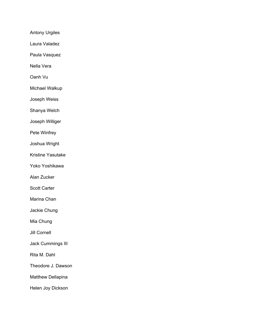Antony Urgiles

Laura Valadez

Paula Vasquez

Nella Vera

Oanh Vu

Michael Walkup

Joseph Weiss

Shanya Welch

Joseph Williger

Pete Winfrey

Joshua Wright

Kristine Yasutake

Yoko Yoshikawa

Alan Zucker

Scott Carter

Marina Chan

Jackie Chung

Mia Chung

Jill Cornell

Jack Cummings III

Rita M. Dahl

Theodore J. Dawson

Matthew Dellapina

Helen Joy Dickson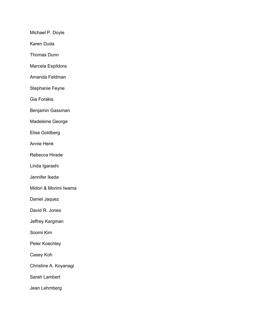Michael P. Doyle

Karen Duda

Thomas Dunn

Marcela Espildora

Amanda Feldman

Stephanie Feyne

Gia Forakis

Benjamin Gassman

Madeleine George

Elise Goldberg

Annie Henk

Rebecca Hirade

Linda Igarashi

Jennifer Ikeda

Midori & Morimi Iwama

Daniel Jaquez

David R. Jones

Jeffrey Kargman

Soomi Kim

Peter Koechley

Casey Koh

Christine A. Koyanagi

Sarah Lambert

Jean Lehmberg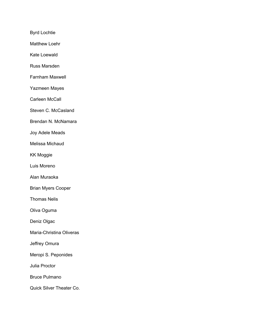Byrd Lochtie

Matthew Loehr

Kate Loewald

Russ Marsden

Farnham Maxwell

Yazmeen Mayes

Carleen McCall

Steven C. McCasland

Brendan N. McNamara

Joy Adele Meads

Melissa Michaud

KK Moggie

Luis Moreno

Alan Muraoka

Brian Myers Cooper

Thomas Nelis

Oliva Oguma

Deniz Olgac

Maria-Christina Oliveras

Jeffrey Omura

Meropi S. Peponides

Julia Proctor

Bruce Pulmano

Quick Silver Theater Co.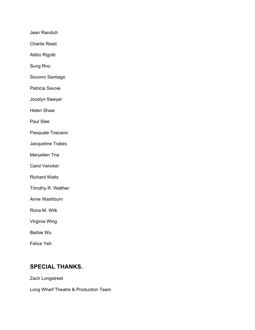Jean Randich

Charlie Read

Attilio Rigotti

Sung Rno

Socorro Santiago

Patricia Savoie

Jocelyn Sawyer

Helen Shaw

Paul Slee

Pasquale Toscano

Jacqueline Tralies

Maryellen Tria

Carol Vericker

Richard Waits

Timothy R. Walther

Anne Washburn

Rona M. Wilk

Virginia Wing

Barbie Wu

Felice Yeh

## **SPECIAL THANKS.**

Zach Longstreet

Long Wharf Theatre & Production Team